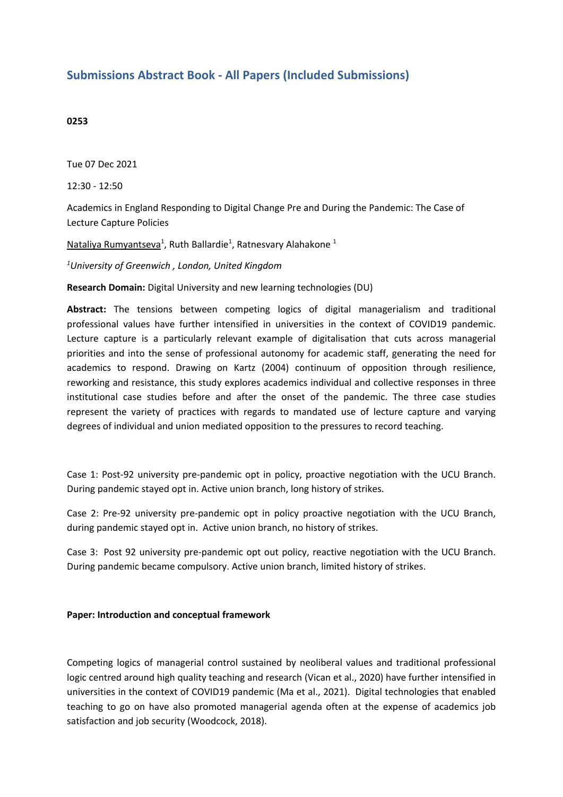## **Submissions Abstract Book - All Papers (Included Submissions)**

### **0253**

Tue 07 Dec 2021

12:30 - 12:50

Academics in England Responding to Digital Change Pre and During the Pandemic: The Case of Lecture Capture Policies

Nataliya Rumyantseva<sup>1</sup>, Ruth Ballardie<sup>1</sup>, Ratnesvary Alahakone <sup>1</sup>

*1 University of Greenwich , London, United Kingdom*

**Research Domain:** Digital University and new learning technologies (DU)

**Abstract:** The tensions between competing logics of digital managerialism and traditional professional values have further intensified in universities in the context of COVID19 pandemic. Lecture capture is <sup>a</sup> particularly relevant example of digitalisation that cuts across managerial priorities and into the sense of professional autonomy for academic staff, generating the need for academics to respond. Drawing on Kartz (2004) continuum of opposition through resilience, reworking and resistance, this study explores academics individual and collective responses in three institutional case studies before and after the onset of the pandemic. The three case studies represent the variety of practices with regards to mandated use of lecture capture and varying degrees of individual and union mediated opposition to the pressures to record teaching.

Case 1: Post-92 university pre-pandemic opt in policy, proactive negotiation with the UCU Branch. During pandemic stayed opt in. Active union branch, long history of strikes.

Case 2: Pre-92 university pre-pandemic opt in policy proactive negotiation with the UCU Branch, during pandemic stayed opt in. Active union branch, no history of strikes.

Case 3: Post 92 university pre-pandemic opt out policy, reactive negotiation with the UCU Branch. During pandemic became compulsory. Active union branch, limited history of strikes.

### **Paper: Introduction and conceptual framework**

Competing logics of managerial control sustained by neoliberal values and traditional professional logic centred around high quality teaching and research (Vican et al., 2020) have further intensified in universities in the context of COVID19 pandemic (Ma et al., 2021). Digital technologies that enabled teaching to go on have also promoted managerial agenda often at the expense of academics job satisfaction and job security (Woodcock, 2018).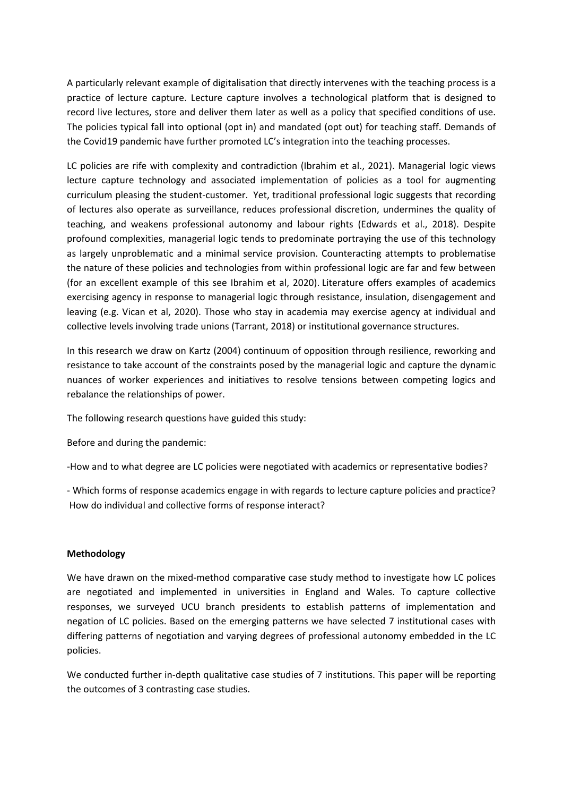A particularly relevant example of digitalisation that directly intervenes with the teaching process is <sup>a</sup> practice of lecture capture. Lecture capture involves <sup>a</sup> technological platform that is designed to record live lectures, store and deliver them later as well as <sup>a</sup> policy that specified conditions of use. The policies typical fall into optional (opt in) and mandated (opt out) for teaching staff. Demands of the Covid19 pandemic have further promoted LC's integration into the teaching processes.

LC policies are rife with complexity and contradiction (Ibrahim et al., 2021). Managerial logic views lecture capture technology and associated implementation of policies as <sup>a</sup> tool for augmenting curriculum pleasing the student-customer. Yet, traditional professional logic suggests that recording of lectures also operate as surveillance, reduces professional discretion, undermines the quality of teaching, and weakens professional autonomy and labour rights (Edwards et al., 2018). Despite profound complexities, managerial logic tends to predominate portraying the use of this technology as largely unproblematic and <sup>a</sup> minimal service provision. Counteracting attempts to problematise the nature of these policies and technologies from within professional logic are far and few between (for an excellent example of this see Ibrahim et al, 2020). Literature offers examples of academics exercising agency in response to managerial logic through resistance, insulation, disengagement and leaving (e.g. Vican et al, 2020). Those who stay in academia may exercise agency at individual and collective levels involving trade unions (Tarrant, 2018) or institutional governance structures.

In this research we draw on Kartz (2004) continuum of opposition through resilience, reworking and resistance to take account of the constraints posed by the managerial logic and capture the dynamic nuances of worker experiences and initiatives to resolve tensions between competing logics and rebalance the relationships of power.

The following research questions have guided this study:

Before and during the pandemic:

-How and to what degree are LC policies were negotiated with academics or representative bodies?

- Which forms of response academics engage in with regards to lecture capture policies and practice? How do individual and collective forms of response interact?

### **Methodology**

We have drawn on the mixed-method comparative case study method to investigate how LC polices are negotiated and implemented in universities in England and Wales. To capture collective responses, we surveyed UCU branch presidents to establish patterns of implementation and negation of LC policies. Based on the emerging patterns we have selected 7 institutional cases with differing patterns of negotiation and varying degrees of professional autonomy embedded in the LC policies.

We conducted further in-depth qualitative case studies of 7 institutions. This paper will be reporting the outcomes of 3 contrasting case studies.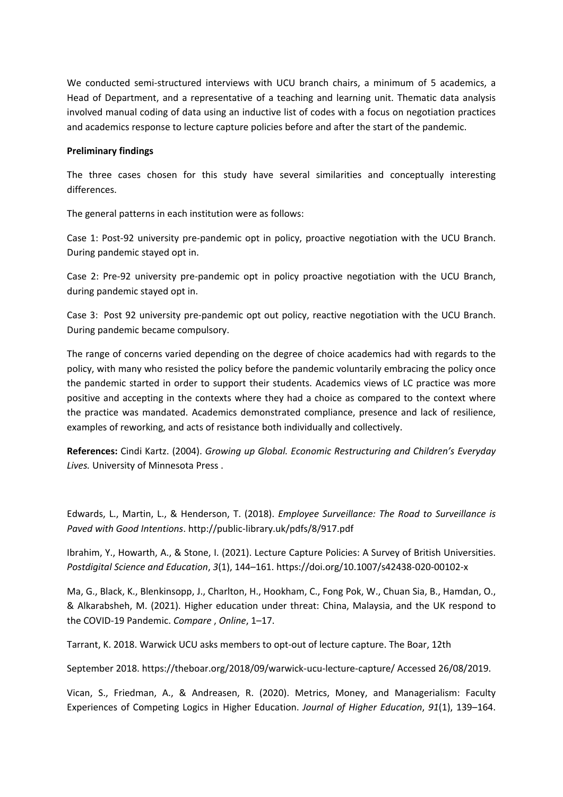We conducted semi-structured interviews with UCU branch chairs, <sup>a</sup> minimum of 5 academics, <sup>a</sup> Head of Department, and <sup>a</sup> representative of <sup>a</sup> teaching and learning unit. Thematic data analysis involved manual coding of data using an inductive list of codes with <sup>a</sup> focus on negotiation practices and academics response to lecture capture policies before and after the start of the pandemic.

### **Preliminary findings**

The three cases chosen for this study have several similarities and conceptually interesting differences.

The general patterns in each institution were as follows:

Case 1: Post-92 university pre-pandemic opt in policy, proactive negotiation with the UCU Branch. During pandemic stayed opt in.

Case 2: Pre-92 university pre-pandemic opt in policy proactive negotiation with the UCU Branch, during pandemic stayed opt in.

Case 3: Post 92 university pre-pandemic opt out policy, reactive negotiation with the UCU Branch. During pandemic became compulsory.

The range of concerns varied depending on the degree of choice academics had with regards to the policy, with many who resisted the policy before the pandemic voluntarily embracing the policy once the pandemic started in order to support their students. Academics views of LC practice was more positive and accepting in the contexts where they had <sup>a</sup> choice as compared to the context where the practice was mandated. Academics demonstrated compliance, presence and lack of resilience, examples of reworking, and acts of resistance both individually and collectively.

**References:** Cindi Kartz. (2004). *Growing up Global. Economic Restructuring and Children's Everyday Lives.* University of Minnesota Press .

Edwards, L., Martin, L., & Henderson, T. (2018). *Employee Surveillance: The Road to Surveillance is Paved with Good Intentions*. http://public-library.uk/pdfs/8/917.pdf

Ibrahim, Y., Howarth, A., & Stone, I. (2021). Lecture Capture Policies: A Survey of British Universities. *Postdigital Science and Education*, *3*(1), 144–161. https://doi.org/10.1007/s42438-020-00102-x

Ma, G., Black, K., Blenkinsopp, J., Charlton, H., Hookham, C., Fong Pok, W., Chuan Sia, B., Hamdan, O., & Alkarabsheh, M. (2021). Higher education under threat: China, Malaysia, and the UK respond to the COVID-19 Pandemic. *Compare* , *Online*, 1–17.

Tarrant, K. 2018. Warwick UCU asks members to opt-out of lecture capture. The Boar, 12th

September 2018. https://theboar.org/2018/09/warwick-ucu-lecture-capture/ Accessed 26/08/2019.

Vican, S., Friedman, A., & Andreasen, R. (2020). Metrics, Money, and Managerialism: Faculty Experiences of Competing Logics in Higher Education. *Journal of Higher Education*, *91*(1), 139–164.